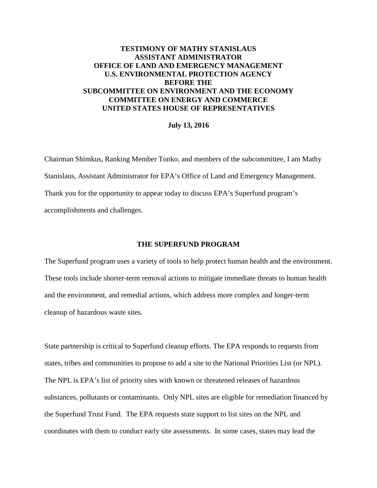# **TESTIMONY OF MATHY STANISLAUS ASSISTANT ADMINISTRATOR OFFICE OF LAND AND EMERGENCY MANAGEMENT U.S. ENVIRONMENTAL PROTECTION AGENCY BEFORE THE SUBCOMMITTEE ON ENVIRONMENT AND THE ECONOMY COMMITTEE ON ENERGY AND COMMERCE UNITED STATES HOUSE OF REPRESENTATIVES**

### **July 13, 2016**

Chairman Shimkus, Ranking Member Tonko, and members of the subcommittee, I am Mathy Stanislaus, Assistant Administrator for EPA's Office of Land and Emergency Management. Thank you for the opportunity to appear today to discuss EPA's Superfund program's accomplishments and challenges.

## **THE SUPERFUND PROGRAM**

The Superfund program uses a variety of tools to help protect human health and the environment. These tools include shorter-term removal actions to mitigate immediate threats to human health and the environment, and remedial actions, which address more complex and longer-term cleanup of hazardous waste sites.

State partnership is critical to Superfund cleanup efforts. The EPA responds to requests from states, tribes and communities to propose to add a site to the National Priorities List (or NPL). The NPL is EPA's list of priority sites with known or threatened releases of hazardous substances, pollutants or contaminants. Only NPL sites are eligible for remediation financed by the Superfund Trust Fund. The EPA requests state support to list sites on the NPL and coordinates with them to conduct early site assessments. In some cases, states may lead the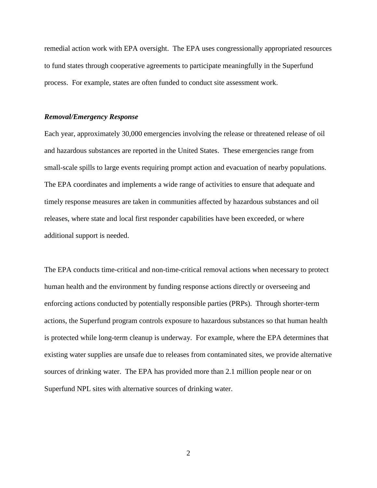remedial action work with EPA oversight. The EPA uses congressionally appropriated resources to fund states through cooperative agreements to participate meaningfully in the Superfund process. For example, states are often funded to conduct site assessment work.

#### *Removal/Emergency Response*

Each year, approximately 30,000 emergencies involving the release or threatened release of oil and hazardous substances are reported in the United States. These emergencies range from small-scale spills to large events requiring prompt action and evacuation of nearby populations. The EPA coordinates and implements a wide range of activities to ensure that adequate and timely response measures are taken in communities affected by hazardous substances and oil releases, where state and local first responder capabilities have been exceeded, or where additional support is needed.

The EPA conducts time-critical and non-time-critical removal actions when necessary to protect human health and the environment by funding response actions directly or overseeing and enforcing actions conducted by potentially responsible parties (PRPs). Through shorter-term actions, the Superfund program controls exposure to hazardous substances so that human health is protected while long-term cleanup is underway. For example, where the EPA determines that existing water supplies are unsafe due to releases from contaminated sites, we provide alternative sources of drinking water. The EPA has provided more than 2.1 million people near or on Superfund NPL sites with alternative sources of drinking water.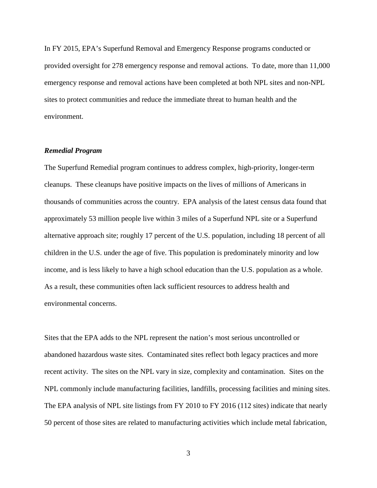In FY 2015, EPA's Superfund Removal and Emergency Response programs conducted or provided oversight for 278 emergency response and removal actions. To date, more than 11,000 emergency response and removal actions have been completed at both NPL sites and non-NPL sites to protect communities and reduce the immediate threat to human health and the environment.

### *Remedial Program*

The Superfund Remedial program continues to address complex, high-priority, longer-term cleanups. These cleanups have positive impacts on the lives of millions of Americans in thousands of communities across the country. EPA analysis of the latest census data found that approximately 53 million people live within 3 miles of a Superfund NPL site or a Superfund alternative approach site; roughly 17 percent of the U.S. population, including 18 percent of all children in the U.S. under the age of five. This population is predominately minority and low income, and is less likely to have a high school education than the U.S. population as a whole. As a result, these communities often lack sufficient resources to address health and environmental concerns.

Sites that the EPA adds to the NPL represent the nation's most serious uncontrolled or abandoned hazardous waste sites. Contaminated sites reflect both legacy practices and more recent activity. The sites on the NPL vary in size, complexity and contamination. Sites on the NPL commonly include manufacturing facilities, landfills, processing facilities and mining sites. The EPA analysis of NPL site listings from FY 2010 to FY 2016 (112 sites) indicate that nearly 50 percent of those sites are related to manufacturing activities which include metal fabrication,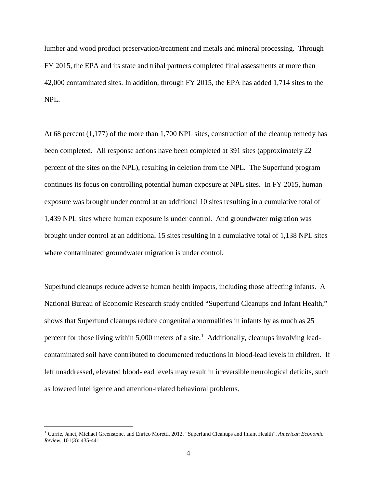lumber and wood product preservation/treatment and metals and mineral processing. Through FY 2015, the EPA and its state and tribal partners completed final assessments at more than 42,000 contaminated sites. In addition, through FY 2015, the EPA has added 1,714 sites to the NPL.

At 68 percent (1,177) of the more than 1,700 NPL sites, construction of the cleanup remedy has been completed. All response actions have been completed at 391 sites (approximately 22 percent of the sites on the NPL), resulting in deletion from the NPL. The Superfund program continues its focus on controlling potential human exposure at NPL sites. In FY 2015, human exposure was brought under control at an additional 10 sites resulting in a cumulative total of 1,439 NPL sites where human exposure is under control. And groundwater migration was brought under control at an additional 15 sites resulting in a cumulative total of 1,138 NPL sites where contaminated groundwater migration is under control.

Superfund cleanups reduce adverse human health impacts, including those affecting infants. A National Bureau of Economic Research study entitled "Superfund Cleanups and Infant Health," shows that Superfund cleanups reduce congenital abnormalities in infants by as much as 25 percent for those living within 5,000 meters of a site.<sup>[1](#page-3-0)</sup> Additionally, cleanups involving leadcontaminated soil have contributed to documented reductions in blood-lead levels in children. If left unaddressed, elevated blood-lead levels may result in irreversible neurological deficits, such as lowered intelligence and attention-related behavioral problems.

<span id="page-3-0"></span> <sup>1</sup> Currie, Janet, Michael Greenstone, and Enrico Moretti. 2012. "Superfund Cleanups and Infant Health". *American Economic Review,* 101(3): 435-441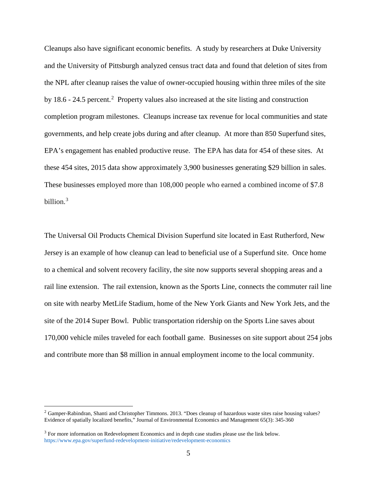Cleanups also have significant economic benefits. A study by researchers at Duke University and the University of Pittsburgh analyzed census tract data and found that deletion of sites from the NPL after cleanup raises the value of owner-occupied housing within three miles of the site by 18.6 - [2](#page-4-0)4.5 percent.<sup>2</sup> Property values also increased at the site listing and construction completion program milestones. Cleanups increase tax revenue for local communities and state governments, and help create jobs during and after cleanup. At more than 850 Superfund sites, EPA's engagement has enabled productive reuse. The EPA has data for 454 of these sites. At these 454 sites, 2015 data show approximately 3,900 businesses generating \$29 billion in sales. These businesses employed more than 108,000 people who earned a combined income of \$7.8 billion.[3](#page-4-1)

The Universal Oil Products Chemical Division Superfund site located in East Rutherford, New Jersey is an example of how cleanup can lead to beneficial use of a Superfund site. Once home to a chemical and solvent recovery facility, the site now supports several shopping areas and a rail line extension. The rail extension, known as the Sports Line, connects the commuter rail line on site with nearby MetLife Stadium, home of the New York Giants and New York Jets, and the site of the 2014 Super Bowl. Public transportation ridership on the Sports Line saves about 170,000 vehicle miles traveled for each football game. Businesses on site support about 254 jobs and contribute more than \$8 million in annual employment income to the local community.

<span id="page-4-0"></span> $2$  Gamper-Rabindran, Shanti and Christopher Timmons. 2013. "Does cleanup of hazardous waste sites raise housing values? Evidence of spatially localized benefits," Journal of Environmental Economics and Management 65(3): 345-360

<span id="page-4-1"></span><sup>&</sup>lt;sup>3</sup> For more information on Redevelopment Economics and in depth case studies please use the link below. https://www.epa.gov/superfund-redevelopment-initiative/redevelopment-economics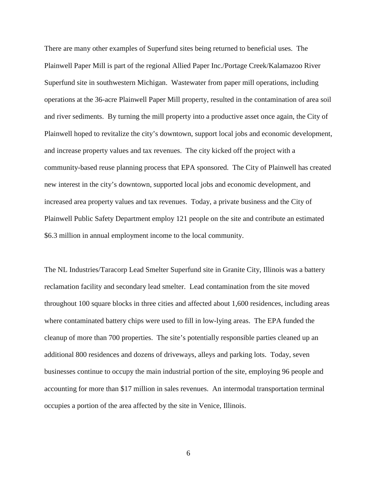There are many other examples of Superfund sites being returned to beneficial uses. The Plainwell Paper Mill is part of the regional Allied Paper Inc./Portage Creek/Kalamazoo River Superfund site in southwestern Michigan. Wastewater from paper mill operations, including operations at the 36-acre Plainwell Paper Mill property, resulted in the contamination of area soil and river sediments. By turning the mill property into a productive asset once again, the City of Plainwell hoped to revitalize the city's downtown, support local jobs and economic development, and increase property values and tax revenues. The city kicked off the project with a community-based reuse planning process that EPA sponsored. The City of Plainwell has created new interest in the city's downtown, supported local jobs and economic development, and increased area property values and tax revenues. Today, a private business and the City of Plainwell Public Safety Department employ 121 people on the site and contribute an estimated \$6.3 million in annual employment income to the local community.

The NL Industries/Taracorp Lead Smelter Superfund site in Granite City, Illinois was a battery reclamation facility and secondary lead smelter. Lead contamination from the site moved throughout 100 square blocks in three cities and affected about 1,600 residences, including areas where contaminated battery chips were used to fill in low-lying areas. The EPA funded the cleanup of more than 700 properties. The site's potentially responsible parties cleaned up an additional 800 residences and dozens of driveways, alleys and parking lots. Today, seven businesses continue to occupy the main industrial portion of the site, employing 96 people and accounting for more than \$17 million in sales revenues. An intermodal transportation terminal occupies a portion of the area affected by the site in Venice, Illinois.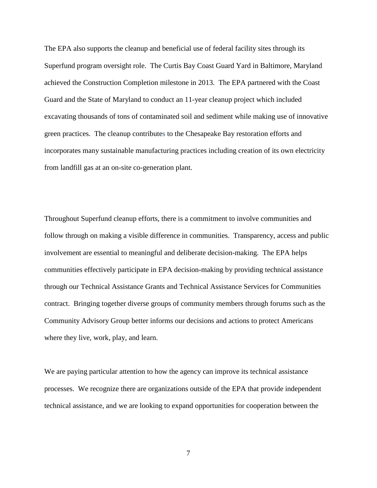The EPA also supports the cleanup and beneficial use of federal facility sites through its Superfund program oversight role. The Curtis Bay Coast Guard Yard in Baltimore, Maryland achieved the Construction Completion milestone in 2013. The EPA partnered with the Coast Guard and the State of Maryland to conduct an 11-year cleanup project which included excavating thousands of tons of contaminated soil and sediment while making use of innovative green practices. The cleanup contributes to the Chesapeake Bay restoration efforts and incorporates many sustainable manufacturing practices including creation of its own electricity from landfill gas at an on-site co-generation plant.

Throughout Superfund cleanup efforts, there is a commitment to involve communities and follow through on making a visible difference in communities. Transparency, access and public involvement are essential to meaningful and deliberate decision-making. The EPA helps communities effectively participate in EPA decision-making by providing technical assistance through our Technical Assistance Grants and Technical Assistance Services for Communities contract. Bringing together diverse groups of community members through forums such as the Community Advisory Group better informs our decisions and actions to protect Americans where they live, work, play, and learn.

We are paying particular attention to how the agency can improve its technical assistance processes. We recognize there are organizations outside of the EPA that provide independent technical assistance, and we are looking to expand opportunities for cooperation between the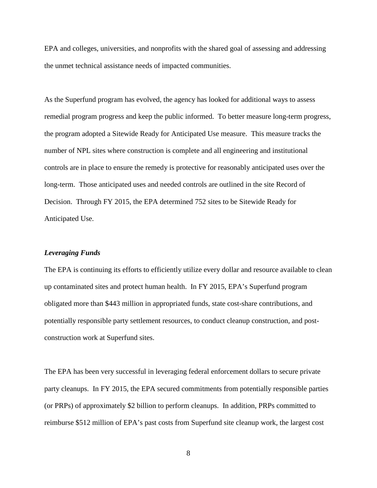EPA and colleges, universities, and nonprofits with the shared goal of assessing and addressing the unmet technical assistance needs of impacted communities.

As the Superfund program has evolved, the agency has looked for additional ways to assess remedial program progress and keep the public informed. To better measure long-term progress, the program adopted a Sitewide Ready for Anticipated Use measure. This measure tracks the number of NPL sites where construction is complete and all engineering and institutional controls are in place to ensure the remedy is protective for reasonably anticipated uses over the long-term. Those anticipated uses and needed controls are outlined in the site Record of Decision. Through FY 2015, the EPA determined 752 sites to be Sitewide Ready for Anticipated Use.

### *Leveraging Funds*

The EPA is continuing its efforts to efficiently utilize every dollar and resource available to clean up contaminated sites and protect human health. In FY 2015, EPA's Superfund program obligated more than \$443 million in appropriated funds, state cost-share contributions, and potentially responsible party settlement resources, to conduct cleanup construction, and postconstruction work at Superfund sites.

The EPA has been very successful in leveraging federal enforcement dollars to secure private party cleanups. In FY 2015, the EPA secured commitments from potentially responsible parties (or PRPs) of approximately \$2 billion to perform cleanups. In addition, PRPs committed to reimburse \$512 million of EPA's past costs from Superfund site cleanup work, the largest cost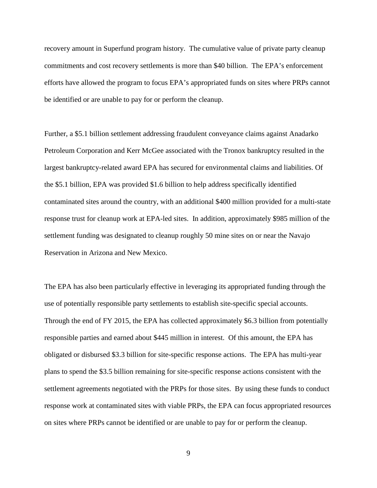recovery amount in Superfund program history. The cumulative value of private party cleanup commitments and cost recovery settlements is more than \$40 billion. The EPA's enforcement efforts have allowed the program to focus EPA's appropriated funds on sites where PRPs cannot be identified or are unable to pay for or perform the cleanup.

Further, a \$5.1 billion settlement addressing fraudulent conveyance claims against Anadarko Petroleum Corporation and Kerr McGee associated with the Tronox bankruptcy resulted in the largest bankruptcy-related award EPA has secured for environmental claims and liabilities. Of the \$5.1 billion, EPA was provided \$1.6 billion to help address specifically identified contaminated sites around the country, with an additional \$400 million provided for a multi-state response trust for cleanup work at EPA-led sites. In addition, approximately \$985 million of the settlement funding was designated to cleanup roughly 50 mine sites on or near the Navajo Reservation in Arizona and New Mexico.

The EPA has also been particularly effective in leveraging its appropriated funding through the use of potentially responsible party settlements to establish site-specific special accounts. Through the end of FY 2015, the EPA has collected approximately \$6.3 billion from potentially responsible parties and earned about \$445 million in interest. Of this amount, the EPA has obligated or disbursed \$3.3 billion for site-specific response actions. The EPA has multi-year plans to spend the \$3.5 billion remaining for site-specific response actions consistent with the settlement agreements negotiated with the PRPs for those sites. By using these funds to conduct response work at contaminated sites with viable PRPs, the EPA can focus appropriated resources on sites where PRPs cannot be identified or are unable to pay for or perform the cleanup.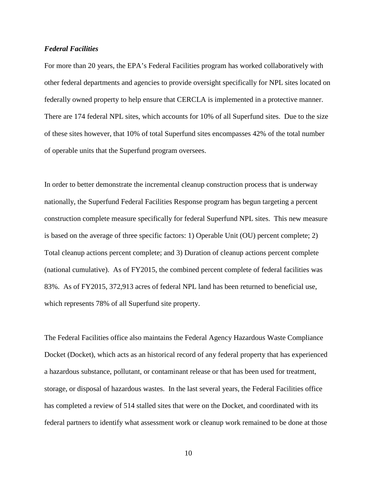### *Federal Facilities*

For more than 20 years, the EPA's Federal Facilities program has worked collaboratively with other federal departments and agencies to provide oversight specifically for NPL sites located on federally owned property to help ensure that CERCLA is implemented in a protective manner. There are 174 federal NPL sites, which accounts for 10% of all Superfund sites. Due to the size of these sites however, that 10% of total Superfund sites encompasses 42% of the total number of operable units that the Superfund program oversees.

In order to better demonstrate the incremental cleanup construction process that is underway nationally, the Superfund Federal Facilities Response program has begun targeting a percent construction complete measure specifically for federal Superfund NPL sites. This new measure is based on the average of three specific factors: 1) Operable Unit (OU) percent complete; 2) Total cleanup actions percent complete; and 3) Duration of cleanup actions percent complete (national cumulative). As of FY2015, the combined percent complete of federal facilities was 83%. As of FY2015, 372,913 acres of federal NPL land has been returned to beneficial use, which represents 78% of all Superfund site property.

The Federal Facilities office also maintains the Federal Agency Hazardous Waste Compliance Docket (Docket), which acts as an historical record of any federal property that has experienced a hazardous substance, pollutant, or contaminant release or that has been used for treatment, storage, or disposal of hazardous wastes. In the last several years, the Federal Facilities office has completed a review of 514 stalled sites that were on the Docket, and coordinated with its federal partners to identify what assessment work or cleanup work remained to be done at those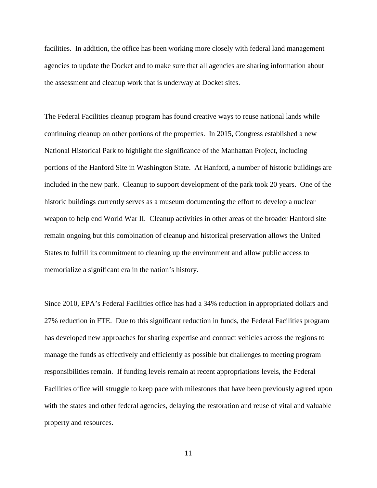facilities. In addition, the office has been working more closely with federal land management agencies to update the Docket and to make sure that all agencies are sharing information about the assessment and cleanup work that is underway at Docket sites.

The Federal Facilities cleanup program has found creative ways to reuse national lands while continuing cleanup on other portions of the properties. In 2015, Congress established a new National Historical Park to highlight the significance of the Manhattan Project, including portions of the Hanford Site in Washington State. At Hanford, a number of historic buildings are included in the new park. Cleanup to support development of the park took 20 years. One of the historic buildings currently serves as a museum documenting the effort to develop a nuclear weapon to help end World War II. Cleanup activities in other areas of the broader Hanford site remain ongoing but this combination of cleanup and historical preservation allows the United States to fulfill its commitment to cleaning up the environment and allow public access to memorialize a significant era in the nation's history.

Since 2010, EPA's Federal Facilities office has had a 34% reduction in appropriated dollars and 27% reduction in FTE. Due to this significant reduction in funds, the Federal Facilities program has developed new approaches for sharing expertise and contract vehicles across the regions to manage the funds as effectively and efficiently as possible but challenges to meeting program responsibilities remain. If funding levels remain at recent appropriations levels, the Federal Facilities office will struggle to keep pace with milestones that have been previously agreed upon with the states and other federal agencies, delaying the restoration and reuse of vital and valuable property and resources.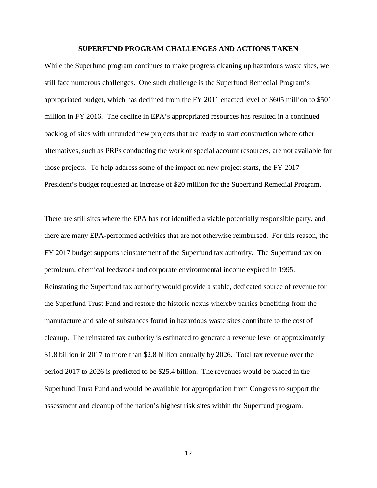#### **SUPERFUND PROGRAM CHALLENGES AND ACTIONS TAKEN**

While the Superfund program continues to make progress cleaning up hazardous waste sites, we still face numerous challenges. One such challenge is the Superfund Remedial Program's appropriated budget, which has declined from the FY 2011 enacted level of \$605 million to \$501 million in FY 2016. The decline in EPA's appropriated resources has resulted in a continued backlog of sites with unfunded new projects that are ready to start construction where other alternatives, such as PRPs conducting the work or special account resources, are not available for those projects. To help address some of the impact on new project starts, the FY 2017 President's budget requested an increase of \$20 million for the Superfund Remedial Program.

There are still sites where the EPA has not identified a viable potentially responsible party, and there are many EPA-performed activities that are not otherwise reimbursed. For this reason, the FY 2017 budget supports reinstatement of the Superfund tax authority. The Superfund tax on petroleum, chemical feedstock and corporate environmental income expired in 1995. Reinstating the Superfund tax authority would provide a stable, dedicated source of revenue for the Superfund Trust Fund and restore the historic nexus whereby parties benefiting from the manufacture and sale of substances found in hazardous waste sites contribute to the cost of cleanup. The reinstated tax authority is estimated to generate a revenue level of approximately \$1.8 billion in 2017 to more than \$2.8 billion annually by 2026. Total tax revenue over the period 2017 to 2026 is predicted to be \$25.4 billion. The revenues would be placed in the Superfund Trust Fund and would be available for appropriation from Congress to support the assessment and cleanup of the nation's highest risk sites within the Superfund program.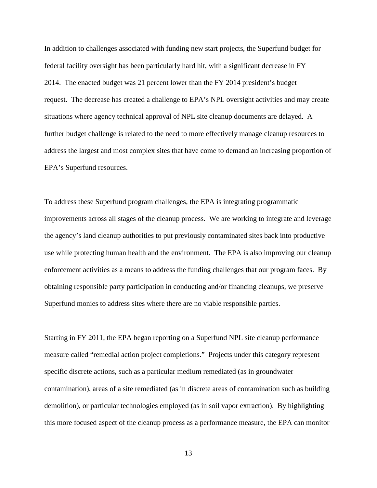In addition to challenges associated with funding new start projects, the Superfund budget for federal facility oversight has been particularly hard hit, with a significant decrease in FY 2014. The enacted budget was 21 percent lower than the FY 2014 president's budget request. The decrease has created a challenge to EPA's NPL oversight activities and may create situations where agency technical approval of NPL site cleanup documents are delayed. A further budget challenge is related to the need to more effectively manage cleanup resources to address the largest and most complex sites that have come to demand an increasing proportion of EPA's Superfund resources.

To address these Superfund program challenges, the EPA is integrating programmatic improvements across all stages of the cleanup process. We are working to integrate and leverage the agency's land cleanup authorities to put previously contaminated sites back into productive use while protecting human health and the environment. The EPA is also improving our cleanup enforcement activities as a means to address the funding challenges that our program faces. By obtaining responsible party participation in conducting and/or financing cleanups, we preserve Superfund monies to address sites where there are no viable responsible parties.

Starting in FY 2011, the EPA began reporting on a Superfund NPL site cleanup performance measure called "remedial action project completions." Projects under this category represent specific discrete actions, such as a particular medium remediated (as in groundwater contamination), areas of a site remediated (as in discrete areas of contamination such as building demolition), or particular technologies employed (as in soil vapor extraction). By highlighting this more focused aspect of the cleanup process as a performance measure, the EPA can monitor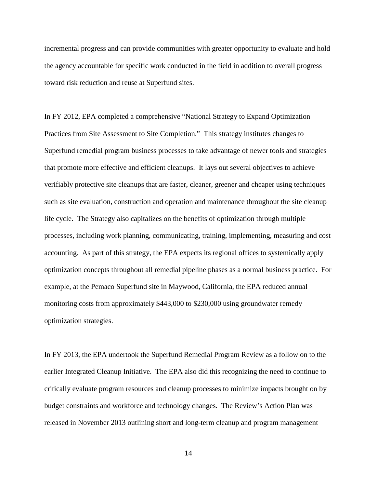incremental progress and can provide communities with greater opportunity to evaluate and hold the agency accountable for specific work conducted in the field in addition to overall progress toward risk reduction and reuse at Superfund sites.

In FY 2012, EPA completed a comprehensive "National Strategy to Expand Optimization Practices from Site Assessment to Site Completion." This strategy institutes changes to Superfund remedial program business processes to take advantage of newer tools and strategies that promote more effective and efficient cleanups. It lays out several objectives to achieve verifiably protective site cleanups that are faster, cleaner, greener and cheaper using techniques such as site evaluation, construction and operation and maintenance throughout the site cleanup life cycle. The Strategy also capitalizes on the benefits of optimization through multiple processes, including work planning, communicating, training, implementing, measuring and cost accounting. As part of this strategy, the EPA expects its regional offices to systemically apply optimization concepts throughout all remedial pipeline phases as a normal business practice. For example, at the Pemaco Superfund site in Maywood, California, the EPA reduced annual monitoring costs from approximately \$443,000 to \$230,000 using groundwater remedy optimization strategies.

In FY 2013, the EPA undertook the Superfund Remedial Program Review as a follow on to the earlier Integrated Cleanup Initiative. The EPA also did this recognizing the need to continue to critically evaluate program resources and cleanup processes to minimize impacts brought on by budget constraints and workforce and technology changes. The Review's Action Plan was released in November 2013 outlining short and long-term cleanup and program management